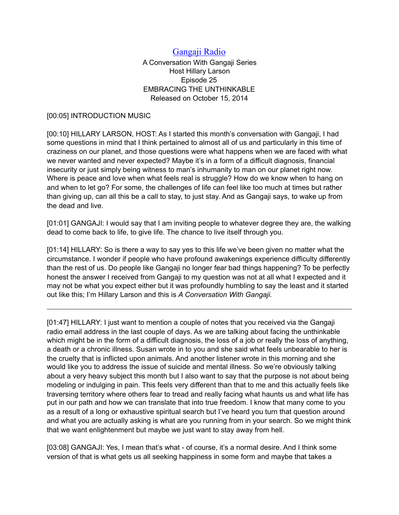## [Gangaji Radio](https://gangaji.org/podcast-library/)

A Conversation With Gangaji Series Host Hillary Larson Episode 25 EMBRACING THE UNTHINKABLE Released on October 15, 2014

## [00:05] INTRODUCTION MUSIC

[00:10] HILLARY LARSON, HOST: As I started this month's conversation with Gangaji, I had some questions in mind that I think pertained to almost all of us and particularly in this time of craziness on our planet, and those questions were what happens when we are faced with what we never wanted and never expected? Maybe it's in a form of a difficult diagnosis, financial insecurity or just simply being witness to man's inhumanity to man on our planet right now. Where is peace and love when what feels real is struggle? How do we know when to hang on and when to let go? For some, the challenges of life can feel like too much at times but rather than giving up, can all this be a call to stay, to just stay. And as Gangaji says, to wake up from the dead and live.

[01:01] GANGAJI: I would say that I am inviting people to whatever degree they are, the walking dead to come back to life, to give life. The chance to live itself through you.

[01:14] HILLARY: So is there a way to say yes to this life we've been given no matter what the circumstance. I wonder if people who have profound awakenings experience difficulty differently than the rest of us. Do people like Gangaji no longer fear bad things happening? To be perfectly honest the answer I received from Gangaji to my question was not at all what I expected and it may not be what you expect either but it was profoundly humbling to say the least and it started out like this; I'm Hillary Larson and this is *A Conversation With Gangaji*.

[01:47] HILLARY: I just want to mention a couple of notes that you received via the Gangaji radio email address in the last couple of days. As we are talking about facing the unthinkable which might be in the form of a difficult diagnosis, the loss of a job or really the loss of anything, a death or a chronic illness. Susan wrote in to you and she said what feels unbearable to her is the cruelty that is inflicted upon animals. And another listener wrote in this morning and she would like you to address the issue of suicide and mental illness. So we're obviously talking about a very heavy subject this month but I also want to say that the purpose is not about being modeling or indulging in pain. This feels very different than that to me and this actually feels like traversing territory where others fear to tread and really facing what haunts us and what life has put in our path and how we can translate that into true freedom. I know that many come to you as a result of a long or exhaustive spiritual search but I've heard you turn that question around and what you are actually asking is what are you running from in your search. So we might think that we want enlightenment but maybe we just want to stay away from hell.

[03:08] GANGAJI: Yes, I mean that's what - of course, it's a normal desire. And I think some version of that is what gets us all seeking happiness in some form and maybe that takes a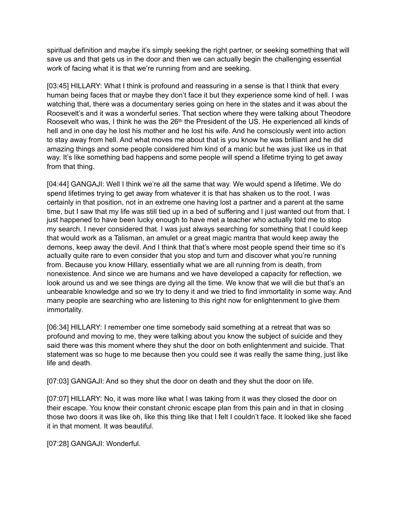spiritual definition and maybe it's simply seeking the right partner, or seeking something that will save us and that gets us in the door and then we can actually begin the challenging essential work of facing what it is that we're running from and are seeking.

[03:45] HILLARY: What I think is profound and reassuring in a sense is that I think that every human being faces that or maybe they don't face it but they experience some kind of hell. I was watching that, there was a documentary series going on here in the states and it was about the Roosevelt's and it was a wonderful series. That section where they were talking about Theodore Roosevelt who was, I think he was the 26<sup>th</sup> the President of the US. He experienced all kinds of hell and in one day he lost his mother and he lost his wife. And he consciously went into action to stay away from hell. And what moves me about that is you know he was brilliant and he did amazing things and some people considered him kind of a manic but he was just like us in that way. It's like something bad happens and some people will spend a lifetime trying to get away from that thing.

[04:44] GANGAJI: Well I think we're all the same that way. We would spend a lifetime. We do spend lifetimes trying to get away from whatever it is that has shaken us to the root. I was certainly in that position, not in an extreme one having lost a partner and a parent at the same time, but I saw that my life was still tied up in a bed of suffering and I just wanted out from that. I just happened to have been lucky enough to have met a teacher who actually told me to stop my search. I never considered that. I was just always searching for something that I could keep that would work as a Talisman, an amulet or a great magic mantra that would keep away the demons, keep away the devil. And I think that that's where most people spend their time so it's actually quite rare to even consider that you stop and turn and discover what you're running from. Because you know Hillary, essentially what we are all running from is death, from nonexistence. And since we are humans and we have developed a capacity for reflection, we look around us and we see things are dying all the time. We know that we will die but that's an unbearable knowledge and so we try to deny it and we tried to find immortality in some way. And many people are searching who are listening to this right now for enlightenment to give them immortality.

[06:34] HILLARY: I remember one time somebody said something at a retreat that was so profound and moving to me, they were talking about you know the subject of suicide and they said there was this moment where they shut the door on both enlightenment and suicide. That statement was so huge to me because then you could see it was really the same thing, just like life and death.

[07:03] GANGAJI: And so they shut the door on death and they shut the door on life.

[07:07] HILLARY: No, it was more like what I was taking from it was they closed the door on their escape. You know their constant chronic escape plan from this pain and in that in closing those two doors it was like oh, like this thing like that I felt I couldn't face. It looked like she faced it in that moment. It was beautiful.

[07:28] GANGAJI: Wonderful.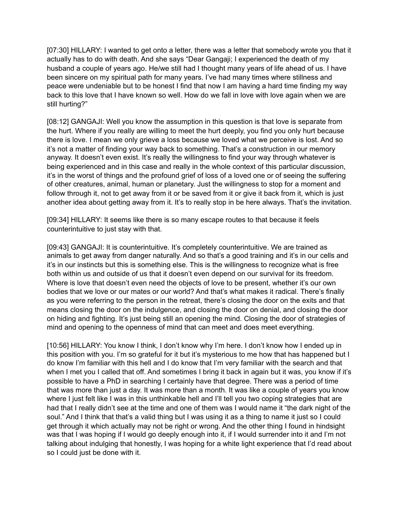[07:30] HILLARY: I wanted to get onto a letter, there was a letter that somebody wrote you that it actually has to do with death. And she says "Dear Gangaji; I experienced the death of my husband a couple of years ago. He/we still had I thought many years of life ahead of us. I have been sincere on my spiritual path for many years. I've had many times where stillness and peace were undeniable but to be honest I find that now I am having a hard time finding my way back to this love that I have known so well. How do we fall in love with love again when we are still hurting?"

[08:12] GANGAJI: Well you know the assumption in this question is that love is separate from the hurt. Where if you really are willing to meet the hurt deeply, you find you only hurt because there is love. I mean we only grieve a loss because we loved what we perceive is lost. And so it's not a matter of finding your way back to something. That's a construction in our memory anyway. It doesn't even exist. It's really the willingness to find your way through whatever is being experienced and in this case and really in the whole context of this particular discussion, it's in the worst of things and the profound grief of loss of a loved one or of seeing the suffering of other creatures, animal, human or planetary. Just the willingness to stop for a moment and follow through it, not to get away from it or be saved from it or give it back from it, which is just another idea about getting away from it. It's to really stop in be here always. That's the invitation.

[09:34] HILLARY: It seems like there is so many escape routes to that because it feels counterintuitive to just stay with that.

[09:43] GANGAJI: It is counterintuitive. It's completely counterintuitive. We are trained as animals to get away from danger naturally. And so that's a good training and it's in our cells and it's in our instincts but this is something else. This is the willingness to recognize what is free both within us and outside of us that it doesn't even depend on our survival for its freedom. Where is love that doesn't even need the objects of love to be present, whether it's our own bodies that we love or our mates or our world? And that's what makes it radical. There's finally as you were referring to the person in the retreat, there's closing the door on the exits and that means closing the door on the indulgence, and closing the door on denial, and closing the door on hiding and fighting. It's just being still an opening the mind. Closing the door of strategies of mind and opening to the openness of mind that can meet and does meet everything.

[10:56] HILLARY: You know I think, I don't know why I'm here. I don't know how I ended up in this position with you. I'm so grateful for it but it's mysterious to me how that has happened but I do know I'm familiar with this hell and I do know that I'm very familiar with the search and that when I met you I called that off. And sometimes I bring it back in again but it was, you know if it's possible to have a PhD in searching I certainly have that degree. There was a period of time that was more than just a day. It was more than a month. It was like a couple of years you know where I just felt like I was in this unthinkable hell and I'll tell you two coping strategies that are had that I really didn't see at the time and one of them was I would name it "the dark night of the soul." And I think that that's a valid thing but I was using it as a thing to name it just so I could get through it which actually may not be right or wrong. And the other thing I found in hindsight was that I was hoping if I would go deeply enough into it, if I would surrender into it and I'm not talking about indulging that honestly, I was hoping for a white light experience that I'd read about so I could just be done with it.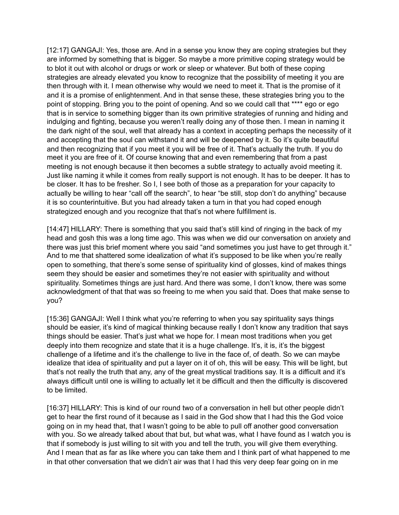[12:17] GANGAJI: Yes, those are. And in a sense you know they are coping strategies but they are informed by something that is bigger. So maybe a more primitive coping strategy would be to blot it out with alcohol or drugs or work or sleep or whatever. But both of these coping strategies are already elevated you know to recognize that the possibility of meeting it you are then through with it. I mean otherwise why would we need to meet it. That is the promise of it and it is a promise of enlightenment. And in that sense these, these strategies bring you to the point of stopping. Bring you to the point of opening. And so we could call that \*\*\*\* ego or ego that is in service to something bigger than its own primitive strategies of running and hiding and indulging and fighting, because you weren't really doing any of those then. I mean in naming it the dark night of the soul, well that already has a context in accepting perhaps the necessity of it and accepting that the soul can withstand it and will be deepened by it. So it's quite beautiful and then recognizing that if you meet it you will be free of it. That's actually the truth. If you do meet it you are free of it. Of course knowing that and even remembering that from a past meeting is not enough because it then becomes a subtle strategy to actually avoid meeting it. Just like naming it while it comes from really support is not enough. It has to be deeper. It has to be closer. It has to be fresher. So I, I see both of those as a preparation for your capacity to actually be willing to hear "call off the search", to hear "be still, stop don't do anything" because it is so counterintuitive. But you had already taken a turn in that you had coped enough strategized enough and you recognize that that's not where fulfillment is.

[14:47] HILLARY: There is something that you said that's still kind of ringing in the back of my head and gosh this was a long time ago. This was when we did our conversation on anxiety and there was just this brief moment where you said "and sometimes you just have to get through it." And to me that shattered some idealization of what it's supposed to be like when you're really open to something, that there's some sense of spirituality kind of glosses, kind of makes things seem they should be easier and sometimes they're not easier with spirituality and without spirituality. Sometimes things are just hard. And there was some, I don't know, there was some acknowledgment of that that was so freeing to me when you said that. Does that make sense to you?

[15:36] GANGAJI: Well I think what you're referring to when you say spirituality says things should be easier, it's kind of magical thinking because really I don't know any tradition that says things should be easier. That's just what we hope for. I mean most traditions when you get deeply into them recognize and state that it is a huge challenge. It's, it is, it's the biggest challenge of a lifetime and it's the challenge to live in the face of, of death. So we can maybe idealize that idea of spirituality and put a layer on it of oh, this will be easy. This will be light, but that's not really the truth that any, any of the great mystical traditions say. It is a difficult and it's always difficult until one is willing to actually let it be difficult and then the difficulty is discovered to be limited.

[16:37] HILLARY: This is kind of our round two of a conversation in hell but other people didn't get to hear the first round of it because as I said in the God show that I had this the God voice going on in my head that, that I wasn't going to be able to pull off another good conversation with you. So we already talked about that but, but what was, what I have found as I watch you is that if somebody is just willing to sit with you and tell the truth, you will give them everything. And I mean that as far as like where you can take them and I think part of what happened to me in that other conversation that we didn't air was that I had this very deep fear going on in me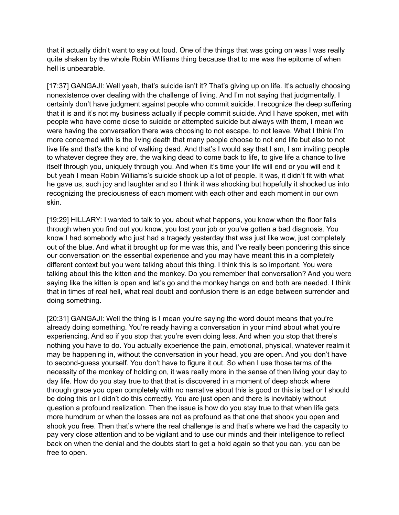that it actually didn't want to say out loud. One of the things that was going on was I was really quite shaken by the whole Robin Williams thing because that to me was the epitome of when hell is unbearable.

[17:37] GANGAJI: Well yeah, that's suicide isn't it? That's giving up on life. It's actually choosing nonexistence over dealing with the challenge of living. And I'm not saying that judgmentally, I certainly don't have judgment against people who commit suicide. I recognize the deep suffering that it is and it's not my business actually if people commit suicide. And I have spoken, met with people who have come close to suicide or attempted suicide but always with them, I mean we were having the conversation there was choosing to not escape, to not leave. What I think I'm more concerned with is the living death that many people choose to not end life but also to not live life and that's the kind of walking dead. And that's I would say that I am, I am inviting people to whatever degree they are, the walking dead to come back to life, to give life a chance to live itself through you, uniquely through you. And when it's time your life will end or you will end it but yeah I mean Robin Williams's suicide shook up a lot of people. It was, it didn't fit with what he gave us, such joy and laughter and so I think it was shocking but hopefully it shocked us into recognizing the preciousness of each moment with each other and each moment in our own skin.

[19:29] HILLARY: I wanted to talk to you about what happens, you know when the floor falls through when you find out you know, you lost your job or you've gotten a bad diagnosis. You know I had somebody who just had a tragedy yesterday that was just like wow, just completely out of the blue. And what it brought up for me was this, and I've really been pondering this since our conversation on the essential experience and you may have meant this in a completely different context but you were talking about this thing. I think this is so important. You were talking about this the kitten and the monkey. Do you remember that conversation? And you were saying like the kitten is open and let's go and the monkey hangs on and both are needed. I think that in times of real hell, what real doubt and confusion there is an edge between surrender and doing something.

[20:31] GANGAJI: Well the thing is I mean you're saying the word doubt means that you're already doing something. You're ready having a conversation in your mind about what you're experiencing. And so if you stop that you're even doing less. And when you stop that there's nothing you have to do. You actually experience the pain, emotional, physical, whatever realm it may be happening in, without the conversation in your head, you are open. And you don't have to second-guess yourself. You don't have to figure it out. So when I use those terms of the necessity of the monkey of holding on, it was really more in the sense of then living your day to day life. How do you stay true to that that is discovered in a moment of deep shock where through grace you open completely with no narrative about this is good or this is bad or I should be doing this or I didn't do this correctly. You are just open and there is inevitably without question a profound realization. Then the issue is how do you stay true to that when life gets more humdrum or when the losses are not as profound as that one that shook you open and shook you free. Then that's where the real challenge is and that's where we had the capacity to pay very close attention and to be vigilant and to use our minds and their intelligence to reflect back on when the denial and the doubts start to get a hold again so that you can, you can be free to open.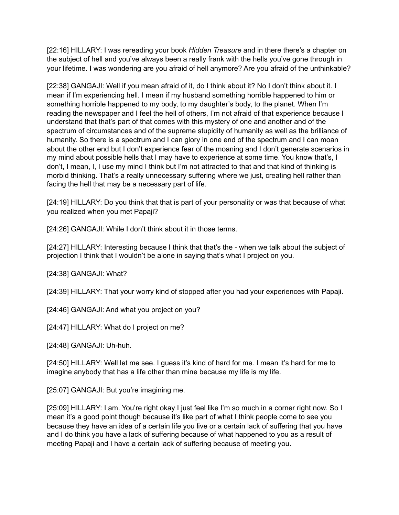[22:16] HILLARY: I was rereading your book *Hidden Treasure* and in there there's a chapter on the subject of hell and you've always been a really frank with the hells you've gone through in your lifetime. I was wondering are you afraid of hell anymore? Are you afraid of the unthinkable?

[22:38] GANGAJI: Well if you mean afraid of it, do I think about it? No I don't think about it. I mean if I'm experiencing hell. I mean if my husband something horrible happened to him or something horrible happened to my body, to my daughter's body, to the planet. When I'm reading the newspaper and I feel the hell of others, I'm not afraid of that experience because I understand that that's part of that comes with this mystery of one and another and of the spectrum of circumstances and of the supreme stupidity of humanity as well as the brilliance of humanity. So there is a spectrum and I can glory in one end of the spectrum and I can moan about the other end but I don't experience fear of the moaning and I don't generate scenarios in my mind about possible hells that I may have to experience at some time. You know that's, I don't, I mean, I, I use my mind I think but I'm not attracted to that and that kind of thinking is morbid thinking. That's a really unnecessary suffering where we just, creating hell rather than facing the hell that may be a necessary part of life.

[24:19] HILLARY: Do you think that that is part of your personality or was that because of what you realized when you met Papaji?

[24:26] GANGAJI: While I don't think about it in those terms.

[24:27] HILLARY: Interesting because I think that that's the - when we talk about the subject of projection I think that I wouldn't be alone in saying that's what I project on you.

[24:38] GANGAJI: What?

[24:39] HILLARY: That your worry kind of stopped after you had your experiences with Papaji.

[24:46] GANGAJI: And what you project on you?

[24:47] HILLARY: What do I project on me?

[24:48] GANGAJI: Uh-huh.

[24:50] HILLARY: Well let me see. I guess it's kind of hard for me. I mean it's hard for me to imagine anybody that has a life other than mine because my life is my life.

[25:07] GANGAJI: But you're imagining me.

[25:09] HILLARY: I am. You're right okay I just feel like I'm so much in a corner right now. So I mean it's a good point though because it's like part of what I think people come to see you because they have an idea of a certain life you live or a certain lack of suffering that you have and I do think you have a lack of suffering because of what happened to you as a result of meeting Papaji and I have a certain lack of suffering because of meeting you.